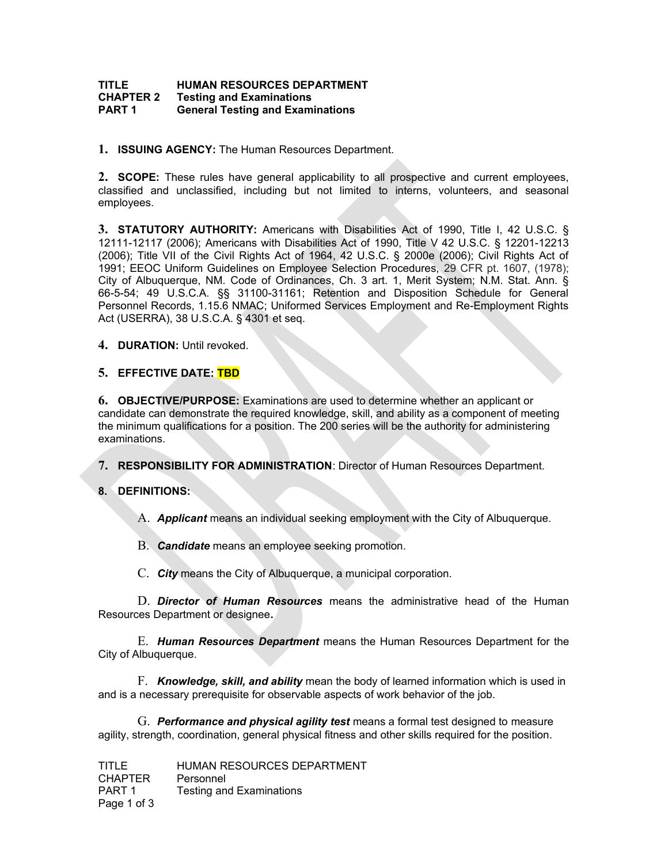## **TITLE HUMAN RESOURCES DEPARTMENT<br>CHAPTER 2 Testing and Examinations Testing and Examinations PART 1 General Testing and Examinations**

**1. ISSUING AGENCY:** The Human Resources Department.

**2. SCOPE:** These rules have general applicability to all prospective and current employees, classified and unclassified, including but not limited to interns, volunteers, and seasonal employees.

**3. STATUTORY AUTHORITY:** Americans with Disabilities Act of 1990, Title I, 42 U.S.C. § 12111-12117 (2006); Americans with Disabilities Act of 1990, Title V 42 U.S.C. § 12201-12213 (2006); Title VII of the Civil Rights Act of 1964, 42 U.S.C. § 2000e (2006); Civil Rights Act of 1991; EEOC Uniform Guidelines on Employee Selection Procedures, 29 CFR pt. 1607, (1978); City of Albuquerque, NM. Code of Ordinances, Ch. 3 art. 1, Merit System; N.M. Stat. Ann. § 66-5-54; 49 U.S.C.A. §§ 31100-31161; Retention and Disposition Schedule for General Personnel Records, 1.15.6 NMAC; Uniformed Services Employment and Re-Employment Rights Act (USERRA), 38 U.S.C.A. § 4301 et seq.

**4. DURATION:** Until revoked.

## **5. EFFECTIVE DATE: TBD**

**6. OBJECTIVE/PURPOSE:** Examinations are used to determine whether an applicant or candidate can demonstrate the required knowledge, skill, and ability as a component of meeting the minimum qualifications for a position. The 200 series will be the authority for administering examinations.

**7. RESPONSIBILITY FOR ADMINISTRATION**: Director of Human Resources Department.

## **8. DEFINITIONS:**

A. *Applicant* means an individual seeking employment with the City of Albuquerque.

B. *Candidate* means an employee seeking promotion.

C. *City* means the City of Albuquerque, a municipal corporation.

D. *Director of Human Resources* means the administrative head of the Human Resources Department or designee**.**

E. *Human Resources Department* means the Human Resources Department for the City of Albuquerque.

F. *Knowledge, skill, and ability* mean the body of learned information which is used in and is a necessary prerequisite for observable aspects of work behavior of the job.

G. *Performance and physical agility test* means a formal test designed to measure agility, strength, coordination, general physical fitness and other skills required for the position.

TITLE HUMAN RESOURCES DEPARTMENT CHAPTER Personnel PART 1 Testing and Examinations Page 1 of 3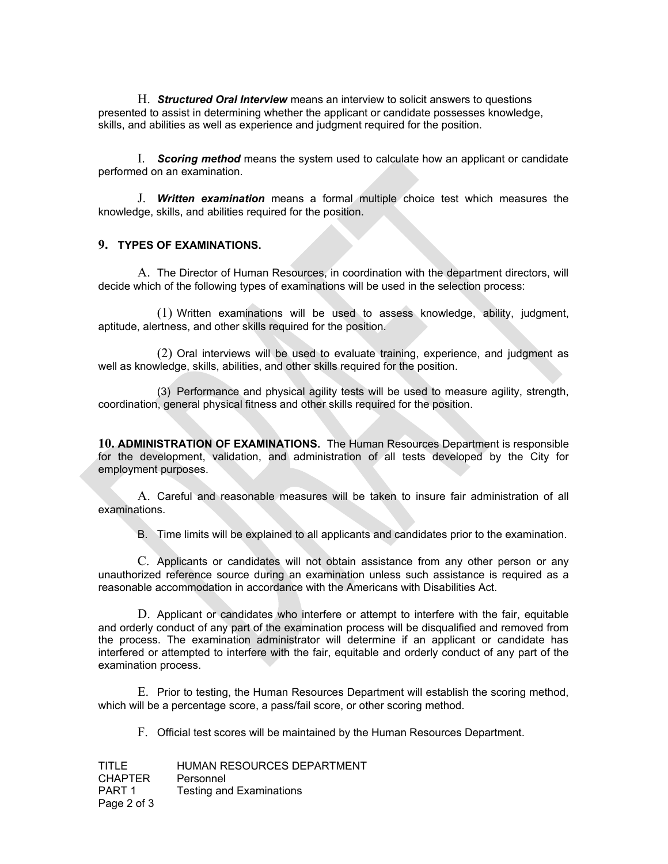H. *Structured Oral Interview* means an interview to solicit answers to questions presented to assist in determining whether the applicant or candidate possesses knowledge, skills, and abilities as well as experience and judgment required for the position.

I. *Scoring method* means the system used to calculate how an applicant or candidate performed on an examination.

J. *Written examination* means a formal multiple choice test which measures the knowledge, skills, and abilities required for the position.

## **9. TYPES OF EXAMINATIONS.**

A. The Director of Human Resources, in coordination with the department directors, will decide which of the following types of examinations will be used in the selection process:

(1) Written examinations will be used to assess knowledge, ability, judgment, aptitude, alertness, and other skills required for the position.

(2) Oral interviews will be used to evaluate training, experience, and judgment as well as knowledge, skills, abilities, and other skills required for the position.

(3) Performance and physical agility tests will be used to measure agility, strength, coordination, general physical fitness and other skills required for the position.

**10. ADMINISTRATION OF EXAMINATIONS.** The Human Resources Department is responsible for the development, validation, and administration of all tests developed by the City for employment purposes.

A. Careful and reasonable measures will be taken to insure fair administration of all examinations.

B. Time limits will be explained to all applicants and candidates prior to the examination.

C. Applicants or candidates will not obtain assistance from any other person or any unauthorized reference source during an examination unless such assistance is required as a reasonable accommodation in accordance with the Americans with Disabilities Act.

D. Applicant or candidates who interfere or attempt to interfere with the fair, equitable and orderly conduct of any part of the examination process will be disqualified and removed from the process. The examination administrator will determine if an applicant or candidate has interfered or attempted to interfere with the fair, equitable and orderly conduct of any part of the examination process.

E. Prior to testing, the Human Resources Department will establish the scoring method, which will be a percentage score, a pass/fail score, or other scoring method.

F. Official test scores will be maintained by the Human Resources Department.

TITLE HUMAN RESOURCES DEPARTMENT CHAPTER Personnel PART 1 Testing and Examinations Page 2 of 3